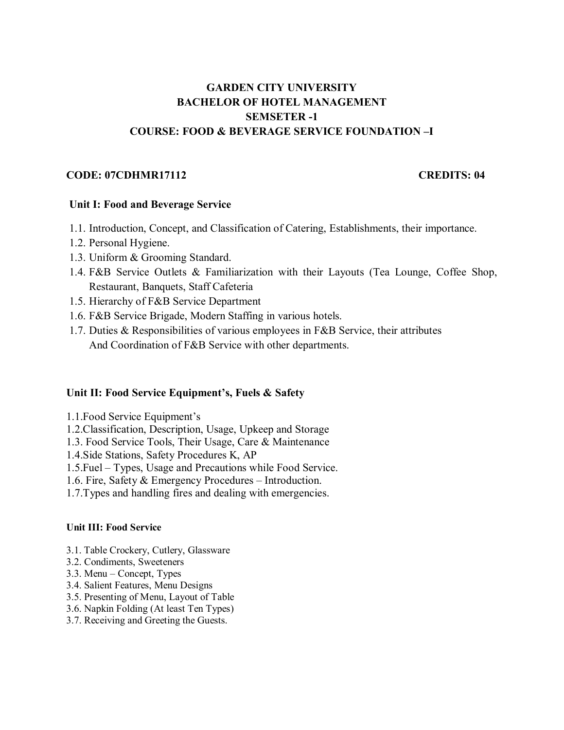# **GARDEN CITY UNIVERSITY BACHELOR OF HOTEL MANAGEMENT SEMSETER -1 COURSE: FOOD & BEVERAGE SERVICE FOUNDATION –I**

#### **CODE: 07CDHMR17112 CREDITS: 04**

#### **Unit I: Food and Beverage Service**

- 1.1. Introduction, Concept, and Classification of Catering, Establishments, their importance.
- 1.2. Personal Hygiene.
- 1.3. Uniform & Grooming Standard.
- 1.4. F&B Service Outlets & Familiarization with their Layouts (Tea Lounge, Coffee Shop, Restaurant, Banquets, Staff Cafeteria
- 1.5. Hierarchy of F&B Service Department
- 1.6. F&B Service Brigade, Modern Staffing in various hotels.
- 1.7. Duties & Responsibilities of various employees in F&B Service, their attributes And Coordination of F&B Service with other departments.

#### **Unit II: Food Service Equipment's, Fuels & Safety**

- 1.1.Food Service Equipment's
- 1.2.Classification, Description, Usage, Upkeep and Storage
- 1.3. Food Service Tools, Their Usage, Care & Maintenance
- 1.4.Side Stations, Safety Procedures K, AP
- 1.5.Fuel Types, Usage and Precautions while Food Service.
- 1.6. Fire, Safety & Emergency Procedures Introduction.
- 1.7.Types and handling fires and dealing with emergencies.

#### **Unit III: Food Service**

- 3.1. Table Crockery, Cutlery, Glassware
- 3.2. Condiments, Sweeteners
- 3.3. Menu Concept, Types
- 3.4. Salient Features, Menu Designs
- 3.5. Presenting of Menu, Layout of Table
- 3.6. Napkin Folding (At least Ten Types)
- 3.7. Receiving and Greeting the Guests.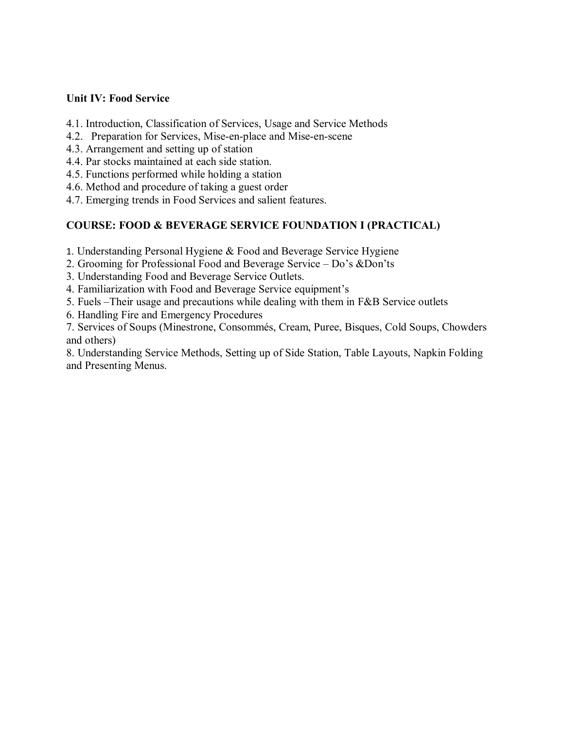## **Unit IV: Food Service**

- 4.1. Introduction, Classification of Services, Usage and Service Methods
- 4.2. Preparation for Services, Mise-en-place and Mise-en-scene
- 4.3. Arrangement and setting up of station
- 4.4. Par stocks maintained at each side station.
- 4.5. Functions performed while holding a station
- 4.6. Method and procedure of taking a guest order
- 4.7. Emerging trends in Food Services and salient features.

## **COURSE: FOOD & BEVERAGE SERVICE FOUNDATION I (PRACTICAL)**

- 1. Understanding Personal Hygiene & Food and Beverage Service Hygiene
- 2. Grooming for Professional Food and Beverage Service Do's &Don'ts
- 3. Understanding Food and Beverage Service Outlets.
- 4. Familiarization with Food and Beverage Service equipment's
- 5. Fuels –Their usage and precautions while dealing with them in F&B Service outlets
- 6. Handling Fire and Emergency Procedures

7. Services of Soups (Minestrone, Consommés, Cream, Puree, Bisques, Cold Soups, Chowders and others)

8. Understanding Service Methods, Setting up of Side Station, Table Layouts, Napkin Folding and Presenting Menus.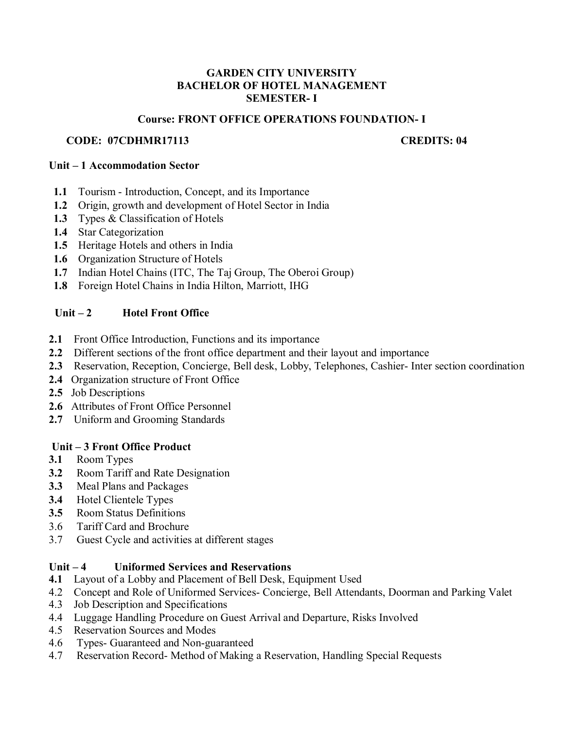#### **GARDEN CITY UNIVERSITY BACHELOR OF HOTEL MANAGEMENT SEMESTER- I**

#### **Course: FRONT OFFICE OPERATIONS FOUNDATION- I**

#### **CODE: 07CDHMR17113 CREDITS: 04**

#### **Unit – 1 Accommodation Sector**

- **1.1** Tourism Introduction, Concept, and its Importance
- **1.2** Origin, growth and development of Hotel Sector in India
- **1.3** Types & Classification of Hotels
- **1.4** Star Categorization
- **1.5** Heritage Hotels and others in India
- **1.6** Organization Structure of Hotels
- **1.7** Indian Hotel Chains (ITC, The Taj Group, The Oberoi Group)
- **1.8** Foreign Hotel Chains in India Hilton, Marriott, IHG

## Unit – 2 **Hotel Front Office**

- **2.1** Front Office Introduction, Functions and its importance
- **2.2** Different sections of the front office department and their layout and importance
- **2.3** Reservation, Reception, Concierge, Bell desk, Lobby, Telephones, Cashier- Inter section coordination
- **2.4** Organization structure of Front Office
- **2.5** Job Descriptions
- **2.6** Attributes of Front Office Personnel
- **2.7** Uniform and Grooming Standards

## **Unit – 3 Front Office Product**

- **3.1** Room Types
- **3.2** Room Tariff and Rate Designation
- **3.3** Meal Plans and Packages
- **3.4** Hotel Clientele Types
- **3.5** Room Status Definitions
- 3.6 Tariff Card and Brochure
- 3.7 Guest Cycle and activities at different stages

## **Unit – 4 Uniformed Services and Reservations**

- **4.1** Layout of a Lobby and Placement of Bell Desk, Equipment Used
- 4.2Concept and Role of Uniformed Services- Concierge, Bell Attendants, Doorman and Parking Valet
- 4.3Job Description and Specifications
- 4.4Luggage Handling Procedure on Guest Arrival and Departure, Risks Involved
- 4.5Reservation Sources and Modes
- 4.6Types- Guaranteed and Non-guaranteed
- 4.7Reservation Record- Method of Making a Reservation, Handling Special Requests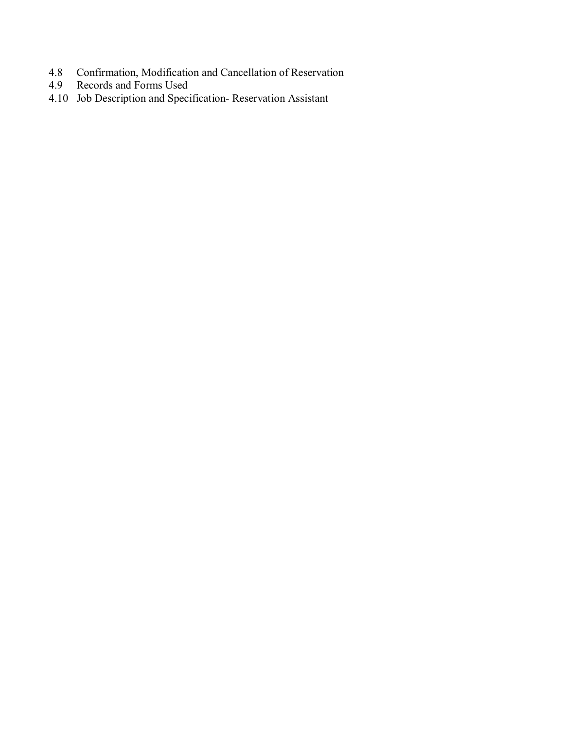- 4.8 Confirmation, Modification and Cancellation of Reservation<br>4.9 Records and Forms Used
- 4.9Records and Forms Used
- 4.10Job Description and Specification- Reservation Assistant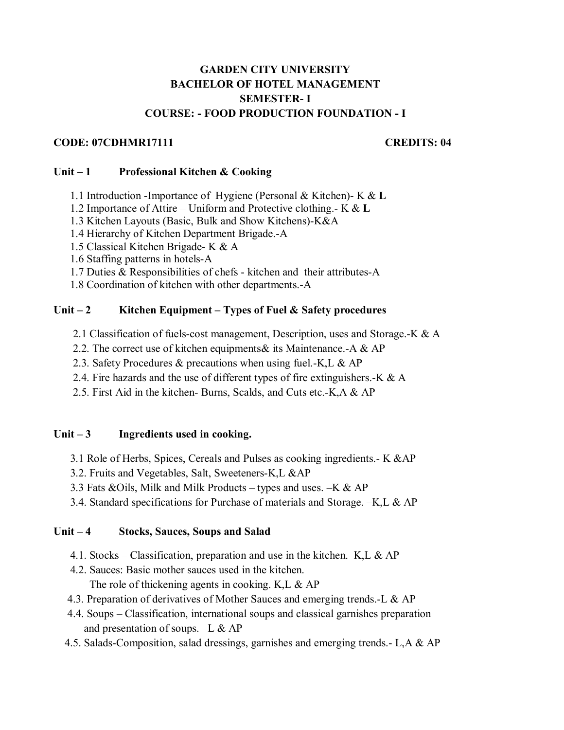## **GARDEN CITY UNIVERSITY BACHELOR OF HOTEL MANAGEMENT SEMESTER- I COURSE: - FOOD PRODUCTION FOUNDATION - I**

#### **CODE: 07CDHMR17111 CREDITS: 04**

#### **Unit – 1 Professional Kitchen & Cooking**

- 1.1 Introduction -Importance of Hygiene (Personal & Kitchen)- K & **L**
- 1.2 Importance of Attire Uniform and Protective clothing.- K & **L**
- 1.3 Kitchen Layouts (Basic, Bulk and Show Kitchens)-K&A
- 1.4 Hierarchy of Kitchen Department Brigade.-A
- 1.5 Classical Kitchen Brigade- K & A
- 1.6 Staffing patterns in hotels-A
- 1.7 Duties & Responsibilities of chefs kitchen and their attributes-A

1.8 Coordination of kitchen with other departments.-A

## Unit – 2 Kitchen Equipment – Types of Fuel & Safety procedures

- 2.1 Classification of fuels-cost management, Description, uses and Storage.-K & A
- 2.2. The correct use of kitchen equipments& its Maintenance.-A & AP
- 2.3. Safety Procedures & precautions when using fuel.-K,L & AP
- 2.4. Fire hazards and the use of different types of fire extinguishers.-K & A
- 2.5. First Aid in the kitchen- Burns, Scalds, and Cuts etc.-K,A & AP

## Unit – 3 **Ingredients used in cooking.**

- 3.1 Role of Herbs, Spices, Cereals and Pulses as cooking ingredients.- K &AP
- 3.2. Fruits and Vegetables, Salt, Sweeteners-K,L &AP
- 3.3 Fats &Oils, Milk and Milk Products types and uses. –K & AP
- 3.4. Standard specifications for Purchase of materials and Storage. –K,L & AP

## **Unit – 4 Stocks, Sauces, Soups and Salad**

- 4.1. Stocks Classification, preparation and use in the kitchen.–K, L & AP
- 4.2. Sauces: Basic mother sauces used in the kitchen.

The role of thickening agents in cooking. K, L & AP

- 4.3. Preparation of derivatives of Mother Sauces and emerging trends.-L & AP
- 4.4. Soups Classification, international soups and classical garnishes preparation and presentation of soups. –L & AP
- 4.5. Salads-Composition, salad dressings, garnishes and emerging trends.- L,A & AP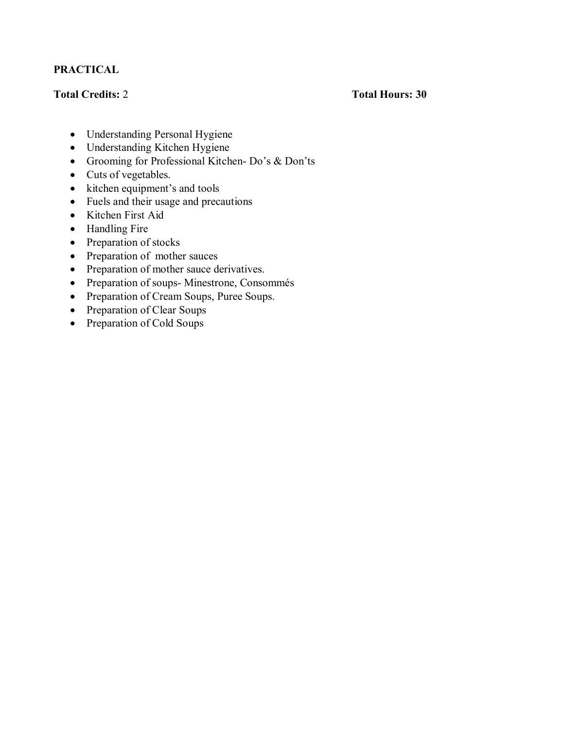## **PRACTICAL**

## **Total Credits:** 2 **Total Hours: 30**

- Understanding Personal Hygiene
- Understanding Kitchen Hygiene
- Grooming for Professional Kitchen- Do's & Don'ts
- Cuts of vegetables.
- kitchen equipment's and tools
- Fuels and their usage and precautions
- Kitchen First Aid
- Handling Fire
- Preparation of stocks
- Preparation of mother sauces
- Preparation of mother sauce derivatives.
- Preparation of soups- Minestrone, Consommés
- Preparation of Cream Soups, Puree Soups.
- Preparation of Clear Soups
- Preparation of Cold Soups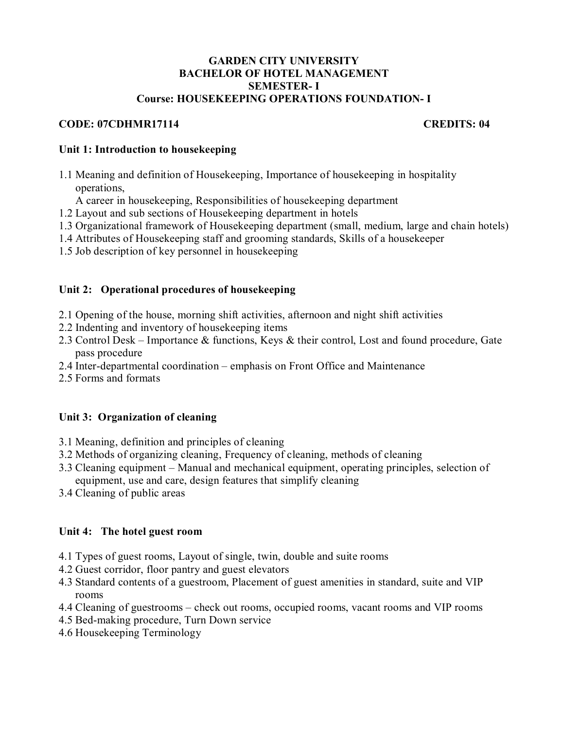#### **GARDEN CITY UNIVERSITY BACHELOR OF HOTEL MANAGEMENT SEMESTER- I Course: HOUSEKEEPING OPERATIONS FOUNDATION- I**

## **CODE: 07CDHMR17114 CREDITS: 04**

## **Unit 1: Introduction to housekeeping**

- 1.1 Meaning and definition of Housekeeping, Importance of housekeeping in hospitality operations,
	- A career in housekeeping, Responsibilities of housekeeping department
- 1.2 Layout and sub sections of Housekeeping department in hotels
- 1.3 Organizational framework of Housekeeping department (small, medium, large and chain hotels)
- 1.4 Attributes of Housekeeping staff and grooming standards, Skills of a housekeeper
- 1.5 Job description of key personnel in housekeeping

## **Unit 2: Operational procedures of housekeeping**

- 2.1 Opening of the house, morning shift activities, afternoon and night shift activities
- 2.2 Indenting and inventory of housekeeping items
- 2.3 Control Desk Importance & functions, Keys & their control, Lost and found procedure, Gate pass procedure
- 2.4 Inter-departmental coordination emphasis on Front Office and Maintenance
- 2.5 Forms and formats

## **Unit 3: Organization of cleaning**

- 3.1 Meaning, definition and principles of cleaning
- 3.2 Methods of organizing cleaning, Frequency of cleaning, methods of cleaning
- 3.3 Cleaning equipment Manual and mechanical equipment, operating principles, selection of equipment, use and care, design features that simplify cleaning
- 3.4 Cleaning of public areas

## **Unit 4: The hotel guest room**

- 4.1 Types of guest rooms, Layout of single, twin, double and suite rooms
- 4.2 Guest corridor, floor pantry and guest elevators
- 4.3 Standard contents of a guestroom, Placement of guest amenities in standard, suite and VIP rooms
- 4.4 Cleaning of guestrooms check out rooms, occupied rooms, vacant rooms and VIP rooms
- 4.5 Bed-making procedure, Turn Down service
- 4.6 Housekeeping Terminology